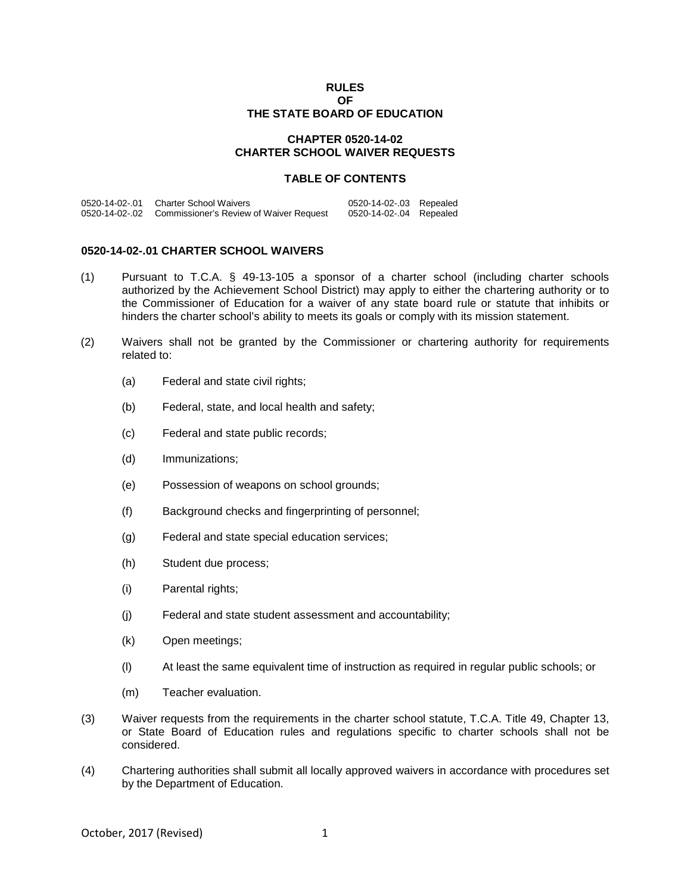### **RULES OF THE STATE BOARD OF EDUCATION**

# **CHAPTER 0520-14-02 CHARTER SCHOOL WAIVER REQUESTS**

### **TABLE OF CONTENTS**

| 0520-14-02-.01 Charter School Waivers                  | 0520-14-02-.03 Repealed |  |
|--------------------------------------------------------|-------------------------|--|
| 0520-14-02-.02 Commissioner's Review of Waiver Request | 0520-14-02-.04 Repealed |  |

## **0520-14-02-.01 CHARTER SCHOOL WAIVERS**

- (1) Pursuant to T.C.A. § 49-13-105 a sponsor of a charter school (including charter schools authorized by the Achievement School District) may apply to either the chartering authority or to the Commissioner of Education for a waiver of any state board rule or statute that inhibits or hinders the charter school's ability to meets its goals or comply with its mission statement.
- (2) Waivers shall not be granted by the Commissioner or chartering authority for requirements related to:
	- (a) Federal and state civil rights;
	- (b) Federal, state, and local health and safety;
	- (c) Federal and state public records;
	- (d) Immunizations;
	- (e) Possession of weapons on school grounds;
	- (f) Background checks and fingerprinting of personnel;
	- (g) Federal and state special education services;
	- (h) Student due process;
	- (i) Parental rights;
	- (j) Federal and state student assessment and accountability;
	- (k) Open meetings;
	- (l) At least the same equivalent time of instruction as required in regular public schools; or
	- (m) Teacher evaluation.
- (3) Waiver requests from the requirements in the charter school statute, T.C.A. Title 49, Chapter 13, or State Board of Education rules and regulations specific to charter schools shall not be considered.
- (4) Chartering authorities shall submit all locally approved waivers in accordance with procedures set by the Department of Education.